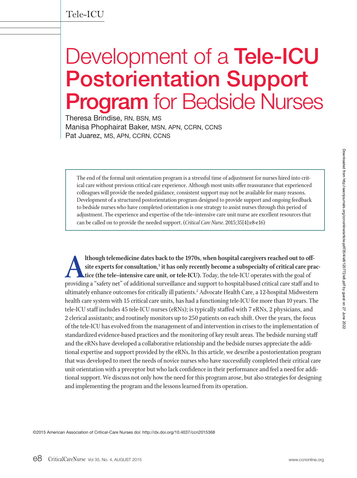# Development of a **Tele-ICU Postorientation Support Program** for Bedside Nurses

Theresa Brindise, RN, BSN, MS Manisa Phophairat Baker, MSN, APN, CCRN, CCNS Pat Juarez, MS, APN, CCRN, CCNS

The end of the formal unit orientation program is a stressful time of adjustment for nurses hired into critical care without previous critical care experience. Although most units offer reassurance that experienced colleagues will provide the needed guidance, consistent support may not be available for many reasons. Development of a structured postorientation program designed to provide support and ongoing feedback to bedside nurses who have completed orientation is one strategy to assist nurses through this period of adjustment. The experience and expertise of the tele–intensive care unit nurse are excellent resources that can be called on to provide the needed support. (*Critical Care Nurse*. 2015;35[4]:e8-e16)

**Although telemedicine dates back to the 1970s, when hospital caregivers reached out to off-**<br>site experts for consultation,<sup>1</sup> it has only recently become a subspecialty of critical care prac-<br>tice (the tele-intensive car **site experts for consultation,1 it has only recently become a subspecialty of critical care practice (the tele–intensive care unit, or tele-ICU).** Today, the tele-ICU operates with the goal of ultimately enhance outcomes for critically ill patients.2 Advocate Health Care, a 12-hospital Midwestern health care system with 15 critical care units, has had a functioning tele-ICU for more than 10 years. The tele-ICU staff includes 45 tele-ICU nurses (eRNs); is typically staffed with 7 eRNs, 2 physicians, and 2 clerical assistants; and routinely monitors up to 250 patients on each shift. Over the years, the focus of the tele-ICU has evolved from the management of and intervention in crises to the implementation of standardized evidence-based practices and the monitoring of key result areas. The bedside nursing staff and the eRNs have developed a collaborative relationship and the bedside nurses appreciate the additional expertise and support provided by the eRNs. In this article, we describe a postorientation program that was developed to meet the needs of novice nurses who have successfully completed their critical care unit orientation with a preceptor but who lack confidence in their performance and feel a need for additional support. We discuss not only how the need for this program arose, but also strategies for designing and implementing the program and the lessons learned from its operation.

©2015 American Association of Critical-Care Nurses doi: http://dx.doi.org/10.4037/ccn2015368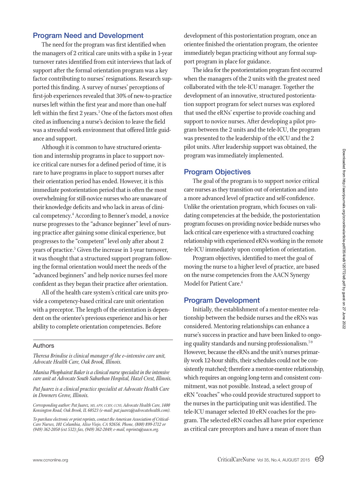# **Program Need and Development**

The need for the program was first identified when the managers of 2 critical care units with a spike in 1-year turnover rates identified from exit interviews that lack of support after the formal orientation program was a key factor contributing to nurses' resignations. Research supported this finding. A survey of nurses' perceptions of first-job experiences revealed that 30% of new-to-practice nurses left within the first year and more than one-half left within the first 2 years.<sup>3</sup> One of the factors most often cited as influencing a nurse's decision to leave the field was a stressful work environment that offered little guidance and support.

Although it is common to have structured orientation and internship programs in place to support novice critical care nurses for a defined period of time, it is rare to have programs in place to support nurses after their orientation period has ended. However, it is this immediate postorientation period that is often the most overwhelming for still-novice nurses who are unaware of their knowledge deficits and who lack in areas of clinical competency.4 According to Benner's model, a novice nurse progresses to the "advance beginner" level of nursing practice after gaining some clinical experience, but progresses to the "competent" level only after about 2 years of practice.5 Given the increase in 1-year turnover, it was thought that a structured support program following the formal orientation would meet the needs of the "advanced beginners" and help novice nurses feel more confident as they began their practice after orientation.

All of the health care system's critical care units provide a competency-based critical care unit orientation with a preceptor. The length of the orientation is dependent on the orientee's previous experience and his or her ability to complete orientation competencies. Before

### Authors

*Theresa Brindise is clinical manager of the e–intensive care unit, Advocate Health Care, Oak Brook, Illinois.*

*Manisa Phophairat Baker is a clinical nurse specialist in the intensive care unit at Advocate South Suburban Hospital, Hazel Crest, Illinois.*

*Pat Juarez is a clinical practice specialist at Advocate Health Care in Downers Grove, Illinois.*

*Corresponding author: Pat Juarez, MS, APN, CCRN, CCNS, Advocate Health Care, 1400 Kensington Road, Oak Brook, IL 60523 (e-mail: pat.juarez@advocatehealth.com).*

*To purchase electronic or print reprints, contact the American Association of Critical-Care Nurses, 101 Columbia, Aliso Viejo, CA 92656. Phone, (800) 899-1712 or (949) 362-2050 (ext 532); fax, (949) 362-2049; e-mail, reprints@aacn.org.*

development of this postorientation program, once an orientee finished the orientation program, the orientee immediately began practicing without any formal support program in place for guidance.

The idea for the postorientation program first occurred when the managers of the 2 units with the greatest need collaborated with the tele-ICU manager. Together the development of an innovative, structured postorientation support program for select nurses was explored that used the eRNs' expertise to provide coaching and support to novice nurses. After developing a pilot program between the 2 units and the tele-ICU, the program was presented to the leadership of the eICU and the 2 pilot units. After leadership support was obtained, the program was immediately implemented.

## **Program Objectives**

The goal of the program is to support novice critical care nurses as they transition out of orientation and into a more advanced level of practice and self-confidence. Unlike the orientation program, which focuses on validating competencies at the bedside, the postorientation program focuses on providing novice bedside nurses who lack critical care experience with a structured coaching relationship with experienced eRNs working in the remote tele-ICU immediately upon completion of orientation.

Program objectives, identified to meet the goal of moving the nurse to a higher level of practice, are based on the nurse competencies from the AACN Synergy Model for Patient Care.<sup>6</sup>

## **Program Development**

Initially, the establishment of a mentor-mentee relationship between the bedside nurses and the eRNs was considered. Mentoring relationships can enhance a nurse's success in practice and have been linked to ongoing quality standards and nursing professionalism.<sup>7-9</sup> However, because the eRNs and the unit's nurses primarily work 12-hour shifts, their schedules could not be consistently matched; therefore a mentor-mentee relationship, which requires an ongoing long-term and consistent commitment, was not possible. Instead, a select group of eRN "coaches" who could provide structured support to the nurses in the participating unit was identified. The tele-ICU manager selected 10 eRN coaches for the program. The selected eRN coaches all have prior experience as critical care preceptors and have a mean of more than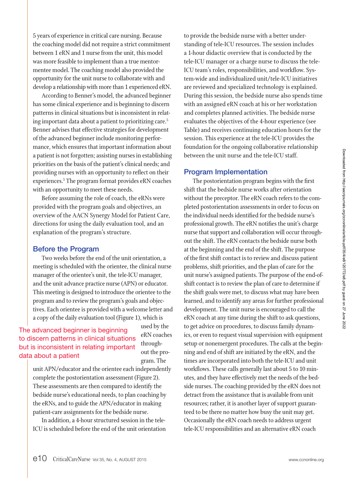5 years of experience in critical care nursing. Because the coaching model did not require a strict commitment between 1 eRN and 1 nurse from the unit, this model was more feasible to implement than a true mentormentee model. The coaching model also provided the opportunity for the unit nurse to collaborate with and develop a relationship with more than 1 experienced eRN.

According to Benner's model, the advanced beginner has some clinical experience and is beginning to discern patterns in clinical situations but is inconsistent in relating important data about a patient to prioritizing care.<sup>5</sup> Benner advises that effective strategies for development of the advanced beginner include monitoring performance, which ensures that important information about a patient is not forgotten; assisting nurses in establishing priorities on the basis of the patient's clinical needs; and providing nurses with an opportunity to reflect on their experiences.5 The program format provides eRN coaches with an opportunity to meet these needs.

Before assuming the role of coach, the eRNs were provided with the program goals and objectives, an overview of the AACN Synergy Model for Patient Care, directions for using the daily evaluation tool, and an explanation of the program's structure.

## **Before the Program**

Two weeks before the end of the unit orientation, a meeting is scheduled with the orientee, the clinical nurse manager of the orientee's unit, the tele-ICU manager, and the unit advance practice nurse (APN) or educator. This meeting is designed to introduce the orientee to the program and to review the program's goals and objectives. Each orientee is provided with a welcome letter and a copy of the daily evaluation tool (Figure 1), which is

The advanced beginner is beginning to discern patterns in clinical situations but is inconsistent in relating important data about a patient

used by the eRN coaches throughout the program. The

unit APN/educator and the orientee each independently complete the postorientation assessment (Figure 2). These assessments are then compared to identify the bedside nurse's educational needs, to plan coaching by the eRNs, and to guide the APN/educator in making patient-care assignments for the bedside nurse.

In addition, a 4-hour structured session in the tele-ICU is scheduled before the end of the unit orientation to provide the bedside nurse with a better understanding of tele-ICU resources. The session includes a 1-hour didactic overview that is conducted by the tele-ICU manager or a charge nurse to discuss the tele-ICU team's roles, responsibilities, and workflow. System-wide and individualized unit/tele-ICU initiatives are reviewed and specialized technology is explained. During this session, the bedside nurse also spends time with an assigned eRN coach at his or her workstation and completes planned activities. The bedside nurse evaluates the objectives of the 4-hour experience (see Table) and receives continuing education hours for the session. This experience at the tele-ICU provides the foundation for the ongoing collaborative relationship between the unit nurse and the tele-ICU staff.

# **Program Implementation**

The postorientation program begins with the first shift that the bedside nurse works after orientation without the preceptor. The eRN coach refers to the completed postorientation assessments in order to focus on the individual needs identified for the bedside nurse's professional growth. The eRN notifies the unit's charge nurse that support and collaboration will occur throughout the shift. The eRN contacts the bedside nurse both at the beginning and the end of the shift. The purpose of the first shift contact is to review and discuss patient problems, shift priorities, and the plan of care for the unit nurse's assigned patients. The purpose of the end-ofshift contact is to review the plan of care to determine if the shift goals were met, to discuss what may have been learned, and to identify any areas for further professional development. The unit nurse is encouraged to call the eRN coach at any time during the shift to ask questions, to get advice on procedures, to discuss family dynamics, or even to request visual supervision with equipment setup or nonemergent procedures. The calls at the beginning and end of shift are initiated by the eRN, and the times are incorporated into both the tele-ICU and unit workflows. These calls generally last about 5 to 10 minutes, and they have effectively met the needs of the bedside nurses. The coaching provided by the eRN does not detract from the assistance that is available from unit resources; rather, it is another layer of support guaranteed to be there no matter how busy the unit may get. Occasionally the eRN coach needs to address urgent tele-ICU responsibilities and an alternative eRN coach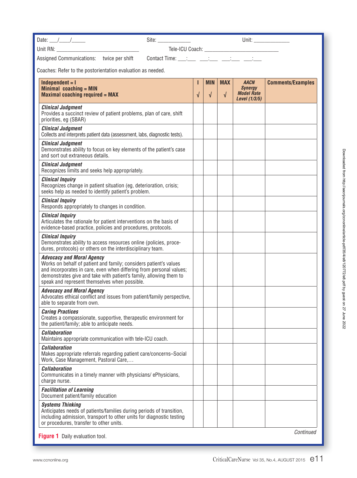| Date: $\frac{1}{\sqrt{1-\frac{1}{2}}}\frac{1}{\sqrt{1-\frac{1}{2}}}\frac{1}{\sqrt{1-\frac{1}{2}}}\frac{1}{\sqrt{1-\frac{1}{2}}}\frac{1}{\sqrt{1-\frac{1}{2}}}\frac{1}{\sqrt{1-\frac{1}{2}}}\frac{1}{\sqrt{1-\frac{1}{2}}}\frac{1}{\sqrt{1-\frac{1}{2}}}\frac{1}{\sqrt{1-\frac{1}{2}}}\frac{1}{\sqrt{1-\frac{1}{2}}}\frac{1}{\sqrt{1-\frac{1}{2}}}\frac{1}{\sqrt{1-\frac{1}{2}}}\frac{1}{\sqrt{1-\frac{1}{2}}}\frac{1}{\$ | Site: ________________ |                 |                          |                          |                                                                     |                          |
|--------------------------------------------------------------------------------------------------------------------------------------------------------------------------------------------------------------------------------------------------------------------------------------------------------------------------------------------------------------------------------------------------------------------------|------------------------|-----------------|--------------------------|--------------------------|---------------------------------------------------------------------|--------------------------|
|                                                                                                                                                                                                                                                                                                                                                                                                                          |                        |                 |                          |                          |                                                                     |                          |
| Contact Time: $\frac{1}{\sqrt{2}}$ $\frac{1}{\sqrt{2}}$ $\frac{1}{\sqrt{2}}$ $\frac{1}{\sqrt{2}}$<br>Assigned Communications: twice per shift                                                                                                                                                                                                                                                                            |                        |                 |                          |                          |                                                                     |                          |
| Coaches: Refer to the postorientation evaluation as needed.                                                                                                                                                                                                                                                                                                                                                              |                        |                 |                          |                          |                                                                     |                          |
| $Independent = I$<br>Minimal coaching = $MIN$<br><b>Maximal coaching required = MAX</b>                                                                                                                                                                                                                                                                                                                                  |                        | т<br>$\sqrt{ }$ | <b>MIN</b><br>$\sqrt{ }$ | <b>MAX</b><br>$\sqrt{ }$ | <b>AACN</b><br><b>Synergy</b><br><b>Model Rate</b><br>Level (1/3/5) | <b>Comments/Examples</b> |
| <b>Clinical Judgment</b><br>Provides a succinct review of patient problems, plan of care, shift<br>priorities, eg (SBAR)                                                                                                                                                                                                                                                                                                 |                        |                 |                          |                          |                                                                     |                          |
| <b>Clinical Judgment</b><br>Collects and interprets patient data (assessment, labs, diagnostic tests).                                                                                                                                                                                                                                                                                                                   |                        |                 |                          |                          |                                                                     |                          |
| <b>Clinical Judgment</b><br>Demonstrates ability to focus on key elements of the patient's case<br>and sort out extraneous details.                                                                                                                                                                                                                                                                                      |                        |                 |                          |                          |                                                                     |                          |
| <b>Clinical Judgment</b><br>Recognizes limits and seeks help appropriately.                                                                                                                                                                                                                                                                                                                                              |                        |                 |                          |                          |                                                                     |                          |
| <b>Clinical Inquiry</b><br>Recognizes change in patient situation (eg, deterioration, crisis;<br>seeks help as needed to identify patient's problem.                                                                                                                                                                                                                                                                     |                        |                 |                          |                          |                                                                     |                          |
| <b>Clinical Inquiry</b><br>Responds appropriately to changes in condition.                                                                                                                                                                                                                                                                                                                                               |                        |                 |                          |                          |                                                                     |                          |
| <b>Clinical Inquiry</b><br>Articulates the rationale for patient interventions on the basis of<br>evidence-based practice, policies and procedures, protocols.                                                                                                                                                                                                                                                           |                        |                 |                          |                          |                                                                     |                          |
| <b>Clinical Inquiry</b><br>Demonstrates ability to access resources online (policies, proce-<br>dures, protocols) or others on the interdisciplinary team.                                                                                                                                                                                                                                                               |                        |                 |                          |                          |                                                                     |                          |
| <b>Advocacy and Moral Agency</b><br>Works on behalf of patient and family; considers patient's values<br>and incorporates in care, even when differing from personal values;<br>demonstrates give and take with patient's family, allowing them to<br>speak and represent themselves when possible.                                                                                                                      |                        |                 |                          |                          |                                                                     |                          |
| <b>Advocacy and Moral Agency</b><br>Advocates ethical conflict and issues from patient/family perspective,<br>able to separate from own.                                                                                                                                                                                                                                                                                 |                        |                 |                          |                          |                                                                     |                          |
| <b>Caring Practices</b><br>Creates a compassionate, supportive, therapeutic environment for<br>the patient/family; able to anticipate needs.                                                                                                                                                                                                                                                                             |                        |                 |                          |                          |                                                                     |                          |
| <b>Collaboration</b><br>Maintains appropriate communication with tele-ICU coach.                                                                                                                                                                                                                                                                                                                                         |                        |                 |                          |                          |                                                                     |                          |
| <b>Collaboration</b><br>Makes appropriate referrals regarding patient care/concerns-Social<br>Work, Case Management, Pastoral Care,                                                                                                                                                                                                                                                                                      |                        |                 |                          |                          |                                                                     |                          |
| <b>Collaboration</b><br>Communicates in a timely manner with physicians/ePhysicians,<br>charge nurse.                                                                                                                                                                                                                                                                                                                    |                        |                 |                          |                          |                                                                     |                          |
| <b>Facilitation of Learning</b><br>Document patient/family education                                                                                                                                                                                                                                                                                                                                                     |                        |                 |                          |                          |                                                                     |                          |
| <b>Systems Thinking</b><br>Anticipates needs of patients/families during periods of transition,<br>including admission, transport to other units for diagnostic testing<br>or procedures, transfer to other units.                                                                                                                                                                                                       |                        |                 |                          |                          |                                                                     |                          |
| Figure 1 Daily evaluation tool.                                                                                                                                                                                                                                                                                                                                                                                          |                        |                 |                          |                          |                                                                     | Continued                |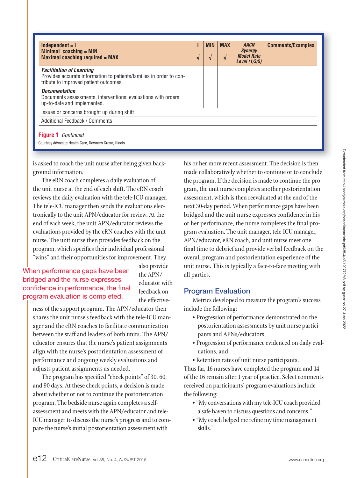| $Independent = I$<br>Minimal coaching $=$ MIN<br><b>Maximal coaching required = MAX</b>                                                         | V | <b>MIN</b> | <b>MAX</b><br>$\mathbf{v}$ | <b>AACN</b><br><b>Synergy</b><br><b>Model Rate</b><br>Level $(1/3/5)$ | <b>Comments/Examples</b> |
|-------------------------------------------------------------------------------------------------------------------------------------------------|---|------------|----------------------------|-----------------------------------------------------------------------|--------------------------|
| <b>Facilitation of Learning</b><br>Provides accurate information to patients/families in order to con-<br>tribute to improved patient outcomes. |   |            |                            |                                                                       |                          |
| <b>Documentation</b><br>Documents assessments, interventions, evaluations with orders<br>up-to-date and implemented.                            |   |            |                            |                                                                       |                          |
| Issues or concerns brought up during shift                                                                                                      |   |            |                            |                                                                       |                          |
| Additional Feedback / Comments                                                                                                                  |   |            |                            |                                                                       |                          |

Courtesy Advocate Health Care, Downers Grove, Illinois.

is asked to coach the unit nurse after being given background information.

The eRN coach completes a daily evaluation of the unit nurse at the end of each shift. The eRN coach reviews the daily evaluation with the tele-ICU manager. The tele-ICU manager then sends the evaluations electronically to the unit APN/educator for review. At the end of each week, the unit APN/educator reviews the evaluations provided by the eRN coaches with the unit nurse. The unit nurse then provides feedback on the program, which specifies their individual professional "wins" and their opportunities for improvement. They

# When performance gaps have been bridged and the nurse expresses confidence in performance, the final program evaluation is completed.

also provide the APN/ educator with feedback on the effective-

ness of the support program. The APN/educator then shares the unit nurse's feedback with the tele-ICU manager and the eRN coaches to facilitate communication between the staff and leaders of both units. The APN/ educator ensures that the nurse's patient assignments align with the nurse's postorientation assessment of performance and ongoing weekly evaluations and adjusts patient assignments as needed.

The program has specified "check points" of 30, 60, and 90 days. At these check points, a decision is made about whether or not to continue the postorientation program. The bedside nurse again completes a selfassessment and meets with the APN/educator and tele-ICU manager to discuss the nurse's progress and to compare the nurse's initial postorientation assessment with

his or her more recent assessment. The decision is then made collaboratively whether to continue or to conclude the program. If the decision is made to continue the program, the unit nurse completes another postorientation assessment, which is then reevaluated at the end of the next 30-day period. When performance gaps have been bridged and the unit nurse expresses confidence in his or her performance, the nurse completes the final program evaluation. The unit manager, tele-ICU manager, APN/educator, eRN coach, and unit nurse meet one final time to debrief and provide verbal feedback on the overall program and postorientation experience of the unit nurse. This is typically a face-to-face meeting with all parties.

# **Program Evaluation**

Metrics developed to measure the program's success include the following:

- Progression of performance demonstrated on the postorientation assessments by unit nurse participants and APNs/educators,
- Progression of performance evidenced on daily evaluations, and
- Retention rates of unit nurse participants.

Thus far, 16 nurses have completed the program and 14 of the 16 remain after 1 year of practice. Select comments received on participants' program evaluations include the following:

- "My conversations with my tele-ICU coach provided a safe haven to discuss questions and concerns."
- "My coach helped me refine my time management skills."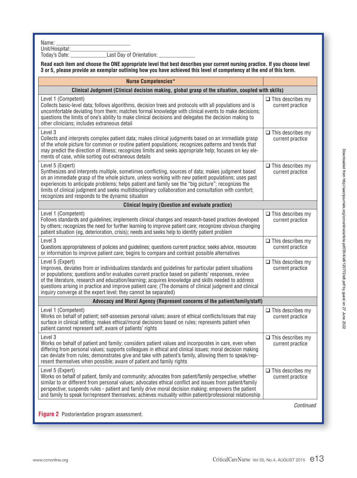Name: \_\_\_\_\_\_\_\_\_\_\_\_\_\_\_\_\_\_\_\_\_\_\_\_\_\_\_\_\_\_\_\_\_\_\_

Unit/Hospital:\_\_\_\_\_\_\_\_\_\_\_\_\_\_\_\_\_\_\_\_\_\_

 $I$ oday's Date: \_\_\_\_\_\_\_\_\_\_\_\_\_\_\_\_\_\_\_\_Last Day of Orientation: \_\_\_\_\_\_\_\_\_\_\_\_\_\_\_\_\_\_\_

| Read each item and choose the ONE appropriate level that best describes your current nursing practice. If you choose level<br>3 or 5, please provide an exemplar outlining how you have achieved this level of competency at the end of this form.                                                                                                                                                                                                                                                               |                                              |  |  |  |  |
|------------------------------------------------------------------------------------------------------------------------------------------------------------------------------------------------------------------------------------------------------------------------------------------------------------------------------------------------------------------------------------------------------------------------------------------------------------------------------------------------------------------|----------------------------------------------|--|--|--|--|
| <b>Nurse Competencies*</b>                                                                                                                                                                                                                                                                                                                                                                                                                                                                                       |                                              |  |  |  |  |
| Clinical Judgment (Clinical decision making, global grasp of the situation, coupled with skills)                                                                                                                                                                                                                                                                                                                                                                                                                 |                                              |  |  |  |  |
| Level 1 (Competent)<br>Collects basic-level data; follows algorithms, decision trees and protocols with all populations and is<br>uncomfortable deviating from them; matches formal knowledge with clinical events to make decisions;<br>questions the limits of one's ability to make clinical decisions and delegates the decision making to<br>other clinicians; includes extraneous detail                                                                                                                   | $\Box$ This describes my<br>current practice |  |  |  |  |
| Level 3<br>Collects and interprets complex patient data; makes clinical judgments based on an immediate grasp<br>of the whole picture for common or routine patient populations; recognizes patterns and trends that<br>may predict the direction of illness; recognizes limits and seeks appropriate help; focuses on key ele-<br>ments of case, while sorting out extraneous details                                                                                                                           | $\Box$ This describes my<br>current practice |  |  |  |  |
| Level 5 (Expert)<br>Synthesizes and interprets multiple, sometimes conflicting, sources of data; makes judgment based<br>on an immediate grasp of the whole picture, unless working with new patient populations; uses past<br>experiences to anticipate problems; helps patient and family see the "big picture"; recognizes the<br>limits of clinical judgment and seeks multidisciplinary collaboration and consultation with comfort;<br>recognizes and responds to the dynamic situation                    | $\Box$ This describes my<br>current practice |  |  |  |  |
| <b>Clinical Inquiry (Question and evaluate practice)</b>                                                                                                                                                                                                                                                                                                                                                                                                                                                         |                                              |  |  |  |  |
| Level 1 (Competent)<br>Follows standards and guidelines; implements clinical changes and research-based practices developed<br>by others; recognizes the need for further learning to improve patient care; recognizes obvious changing<br>patient situation (eg, deterioration, crisis); needs and seeks help to identify patient problem                                                                                                                                                                       | $\Box$ This describes my<br>current practice |  |  |  |  |
| Level 3<br>Questions appropriateness of policies and guidelines; questions current practice; seeks advice, resources<br>or information to improve patient care; begins to compare and contrast possible alternatives                                                                                                                                                                                                                                                                                             | $\Box$ This describes my<br>current practice |  |  |  |  |
| Level 5 (Expert)<br>Improves, deviates from or individualizes standards and guidelines for particular patient situations<br>or populations; questions and/or evaluates current practice based on patients' responses, review<br>of the literature, research and education/learning; acquires knowledge and skills needed to address<br>questions arising in practice and improve patient care; (The domains of clinical judgment and clinical<br>inquiry converge at the expert level; they cannot be separated) | $\Box$ This describes my<br>current practice |  |  |  |  |
| Advocacy and Moral Agency (Represent concerns of the patient/family/staff)                                                                                                                                                                                                                                                                                                                                                                                                                                       |                                              |  |  |  |  |
| Level 1 (Competent)<br>Works on behalf of patient; self-assesses personal values; aware of ethical conflicts/issues that may<br>surface in clinical setting; makes ethical/moral decisions based on rules; represents patient when<br>patient cannot represent self; aware of patients' rights                                                                                                                                                                                                                   | $\Box$ This describes my<br>current practice |  |  |  |  |
| Level 3<br>Works on behalf of patient and family; considers patient values and incorporates in care, even when<br>differing from personal values; supports colleagues in ethical and clinical issues; moral decision making<br>can deviate from rules; demonstrates give and take with patient's family, allowing them to speak/rep-<br>resent themselves when possible; aware of patient and family rights                                                                                                      | $\Box$ This describes my<br>current practice |  |  |  |  |
| Level 5 (Expert)<br>Works on behalf of patient, family and community; advocates from patient/family perspective, whether<br>similar to or different from personal values; advocates ethical conflict and issues from patient/family<br>perspective; suspends rules - patient and family drive moral decision making; empowers the patient<br>and family to speak for/represent themselves; achieves mutuality within patient/professional relationship                                                           | $\Box$ This describes my<br>current practice |  |  |  |  |
|                                                                                                                                                                                                                                                                                                                                                                                                                                                                                                                  | Continued                                    |  |  |  |  |

**Figure 2** Postorientation program assessment.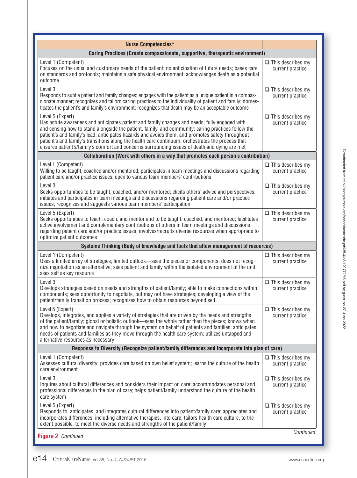| <b>Nurse Competencies*</b>                                                                                                                                                                                                                                                                                                                                                                                                                                                                                                        |                                              |
|-----------------------------------------------------------------------------------------------------------------------------------------------------------------------------------------------------------------------------------------------------------------------------------------------------------------------------------------------------------------------------------------------------------------------------------------------------------------------------------------------------------------------------------|----------------------------------------------|
| Caring Practices (Create compassionate, supportive, therapeutic environment)                                                                                                                                                                                                                                                                                                                                                                                                                                                      |                                              |
| Level 1 (Competent)<br>Focuses on the usual and customary needs of the patient; no anticipation of future needs; bases care<br>on standards and protocols; maintains a safe physical environment; acknowledges death as a potential<br>outcome                                                                                                                                                                                                                                                                                    | $\Box$ This describes my<br>current practice |
| Level 3<br>Responds to subtle patient and family changes; engages with the patient as a unique patient in a compas-<br>sionate manner; recognizes and tailors caring practices to the individuality of patient and family; domes-<br>ticates the patient's and family's environment; recognizes that death may be an acceptable outcome                                                                                                                                                                                           | $\Box$ This describes my<br>current practice |
| Level 5 (Expert)<br>Has astute awareness and anticipates patient and family changes and needs; fully engaged with<br>and sensing how to stand alongside the patient, family, and community; caring practices follow the<br>patient's and family's lead; anticipates hazards and avoids them, and promotes safety throughout<br>patient's and family's transitions along the health care continuum; orchestrates the process that<br>ensures patient's/family's comfort and concerns surrounding issues of death and dying are met | $\Box$ This describes my<br>current practice |
| Collaboration (Work with others in a way that promotes each person's contribution)                                                                                                                                                                                                                                                                                                                                                                                                                                                |                                              |
| Level 1 (Competent)<br>Willing to be taught, coached and/or mentored; participates in team meetings and discussions regarding<br>patient care and/or practice issues; open to various team members' contributions                                                                                                                                                                                                                                                                                                                 | $\Box$ This describes my<br>current practice |
| Level 3<br>Seeks opportunities to be taught, coached, and/or mentored; elicits others' advice and perspectives;<br>initiates and participates in team meetings and discussions regarding patient care and/or practice<br>issues; recognizes and suggests various team members' participation                                                                                                                                                                                                                                      | $\Box$ This describes my<br>current practice |
| Level 5 (Expert)<br>Seeks opportunities to teach, coach, and mentor and to be taught, coached, and mentored; facilitates<br>active involvement and complementary contributions of others in team meetings and discussions<br>regarding patient care and/or practice issues; involves/recruits diverse resources when appropriate to<br>optimize patient outcomes                                                                                                                                                                  | $\Box$ This describes my<br>current practice |
| Systems Thinking (Body of knowledge and tools that allow management of resources)                                                                                                                                                                                                                                                                                                                                                                                                                                                 |                                              |
| Level 1 (Competent)<br>Uses a limited array of strategies; limited outlook—sees the pieces or components; does not recog-<br>nize negotiation as an alternative; sees patient and family within the isolated environment of the unit;<br>sees self as key resource                                                                                                                                                                                                                                                                | $\Box$ This describes my<br>current practice |
|                                                                                                                                                                                                                                                                                                                                                                                                                                                                                                                                   |                                              |
| Level 3<br>Develops strategies based on needs and strengths of patient/family; able to make connections within<br>components; sees opportunity to negotiate, but may not have strategies; developing a view of the<br>patient/family transition process; recognizes how to obtain resources beyond self                                                                                                                                                                                                                           | $\Box$ This describes my<br>current practice |
| Level 5 (Expert)<br>Develops, integrates, and applies a variety of strategies that are driven by the needs and strengths<br>of the patient/family; global or holistic outlook—sees the whole rather than the pieces; knows when<br>and how to negotiate and navigate through the system on behalf of patients and families; anticipates<br>needs of patients and families as they move through the health care system; utilizes untapped and<br>alternative resources as necessary                                                | $\Box$ This describes my<br>current practice |
| Response to Diversity (Recognize patient/family differences and incorporate into plan of care)                                                                                                                                                                                                                                                                                                                                                                                                                                    |                                              |
| Level 1 (Competent)<br>Assesses cultural diversity; provides care based on own belief system; learns the culture of the health<br>care environment                                                                                                                                                                                                                                                                                                                                                                                | $\Box$ This describes my<br>current practice |
| Level 3<br>Inquires about cultural differences and considers their impact on care; accommodates personal and<br>professional differences in the plan of care; helps patient/family understand the culture of the health<br>care system                                                                                                                                                                                                                                                                                            | $\Box$ This describes my<br>current practice |
| Level 5 (Expert)<br>Responds to, anticipates, and integrates cultural differences into patient/family care; appreciates and<br>incorporates differences, including alternative therapies, into care; tailors health care culture, to the<br>extent possible, to meet the diverse needs and strengths of the patient/family                                                                                                                                                                                                        | $\Box$ This describes my<br>current practice |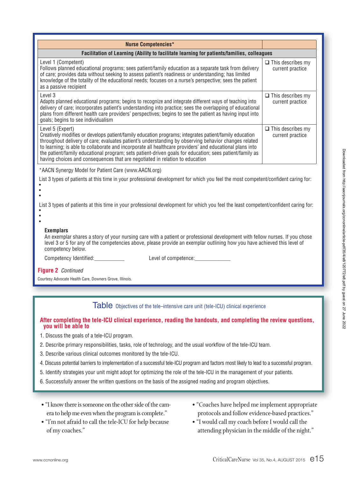| <b>Nurse Competencies*</b>                                                                                                                                                                                                                                                                                                                                                                                                                                                                                                                |                                              |  |  |  |
|-------------------------------------------------------------------------------------------------------------------------------------------------------------------------------------------------------------------------------------------------------------------------------------------------------------------------------------------------------------------------------------------------------------------------------------------------------------------------------------------------------------------------------------------|----------------------------------------------|--|--|--|
| Facilitation of Learning (Ability to facilitate learning for patients/families, colleagues                                                                                                                                                                                                                                                                                                                                                                                                                                                |                                              |  |  |  |
| Level 1 (Competent)<br>Follows planned educational programs; sees patient/family education as a separate task from delivery<br>of care; provides data without seeking to assess patient's readiness or understanding; has limited<br>knowledge of the totality of the educational needs; focuses on a nurse's perspective; sees the patient<br>as a passive recipient                                                                                                                                                                     | $\Box$ This describes my<br>current practice |  |  |  |
| Level 3<br>Adapts planned educational programs; begins to recognize and integrate different ways of teaching into<br>delivery of care; incorporates patient's understanding into practice; sees the overlapping of educational<br>plans from different health care providers' perspectives; begins to see the patient as having input into<br>goals; begins to see individualism                                                                                                                                                          | $\Box$ This describes my<br>current practice |  |  |  |
| Level 5 (Expert)<br>Creatively modifies or develops patient/family education programs; integrates patient/family education<br>throughout delivery of care; evaluates patient's understanding by observing behavior changes related<br>to learning; is able to collaborate and incorporate all healthcare providers' and educational plans into<br>the patient/family educational program; sets patient-driven goals for education; sees patient/family as<br>having choices and consequences that are negotiated in relation to education | $\Box$ This describes my<br>current practice |  |  |  |
| *AACN Synergy Model for Patient Care (www.AACN.org)                                                                                                                                                                                                                                                                                                                                                                                                                                                                                       |                                              |  |  |  |
| List 3 types of patients at this time in your professional development for which you feel the most competent/confident caring for:                                                                                                                                                                                                                                                                                                                                                                                                        |                                              |  |  |  |
| List 3 types of patients at this time in your professional development for which you feel the least competent/confident caring for:<br>٠                                                                                                                                                                                                                                                                                                                                                                                                  |                                              |  |  |  |
| <b>Exemplars</b><br>An exemplar shares a story of your nursing care with a patient or professional development with fellow nurses. If you chose<br>level 3 or 5 for any of the competencies above, please provide an exemplar outlining how you have achieved this level of<br>competency below.                                                                                                                                                                                                                                          |                                              |  |  |  |
| Competency Identified:____________                                                                                                                                                                                                                                                                                                                                                                                                                                                                                                        |                                              |  |  |  |
| Figure 2 Continued                                                                                                                                                                                                                                                                                                                                                                                                                                                                                                                        |                                              |  |  |  |
| Courtesy Advocate Health Care, Downers Grove, Illinois.                                                                                                                                                                                                                                                                                                                                                                                                                                                                                   |                                              |  |  |  |

Table Objectives of the tele-intensive care unit (tele-ICU) clinical experience

## **After completing the tele-ICU clinical experience, reading the handouts, and completing the review questions, you will be able to**

- 1. Discuss the goals of a tele-ICU program.
- 2. Describe primary responsibilities, tasks, role of technology, and the usual workflow of the tele-ICU team.
- 3. Describe various clinical outcomes monitored by the tele-ICU.
- 4. Discuss potential barriers to implementation of a successful tele-ICU program and factors most likely to lead to a successful program.
- 5. Identify strategies your unit might adopt for optimizing the role of the tele-ICU in the management of your patients.
- 6. Successfully answer the written questions on the basis of the assigned reading and program objectives.
- "I know there is someone on the other side of the camera to help me even when the program is complete."
- "I'm not afraid to call the tele-ICU for help because of my coaches."
- "Coaches have helped me implement appropriate protocols and follow evidence-based practices."
- "I would call my coach before I would call the attending physician in the middle of the night."